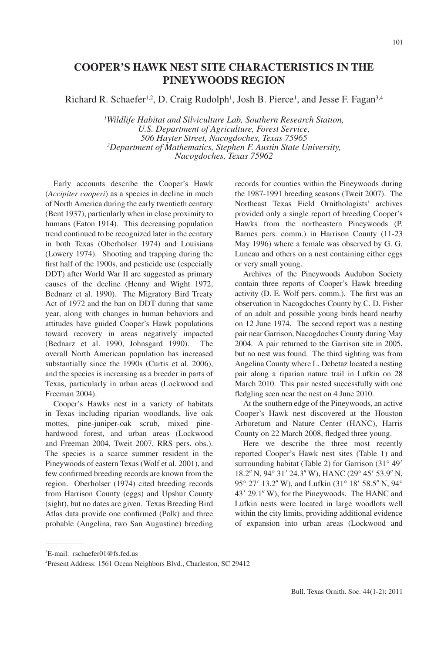# **COOPER'S HAWK NEST SITE CHARACTERISTICS IN THE PINEYWOODS REGION**

Richard R. Schaefer<sup>1,2</sup>, D. Craig Rudolph<sup>1</sup>, Josh B. Pierce<sup>1</sup>, and Jesse F. Fagan<sup>3,4</sup>

*1 Wildlife Habitat and Silviculture Lab, Southern Research Station, U.S. Department of Agriculture, Forest Service, 506 Hayter Street, Nacogdoches, Texas 75965 3 Department of Mathematics, Stephen F. Austin State University, Nacogdoches, Texas 75962* 

Early accounts describe the Cooper's Hawk (*Accipiter cooperi*) as a species in decline in much of North America during the early twentieth century (Bent 1937), particularly when in close proximity to humans (Eaton 1914). This decreasing population trend continued to be recognized later in the century in both Texas (Oberholser 1974) and Louisiana (Lowery 1974). Shooting and trapping during the first half of the 1900s, and pesticide use (especially DDT) after World War II are suggested as primary causes of the decline (Henny and Wight 1972, Bednarz et al. 1990). The Migratory Bird Treaty Act of 1972 and the ban on DDT during that same year, along with changes in human behaviors and attitudes have guided Cooper's Hawk populations toward recovery in areas negatively impacted (Bednarz et al. 1990, Johnsgard 1990). The overall North American population has increased substantially since the 1990s (Curtis et al. 2006), and the species is increasing as a breeder in parts of Texas, particularly in urban areas (Lockwood and Freeman 2004).

Cooper's Hawks nest in a variety of habitats in Texas including riparian woodlands, live oak mottes, pine-juniper-oak scrub, mixed pinehardwood forest, and urban areas (Lockwood and Freeman 2004, Tweit 2007, RRS pers. obs.). The species is a scarce summer resident in the Pineywoods of eastern Texas (Wolf et al. 2001), and few confirmed breeding records are known from the region. Oberholser (1974) cited breeding records from Harrison County (eggs) and Upshur County (sight), but no dates are given. Texas Breeding Bird Atlas data provide one confirmed (Polk) and three probable (Angelina, two San Augustine) breeding records for counties within the Pineywoods during the 1987-1991 breeding seasons (Tweit 2007). The Northeast Texas Field Ornithologists' archives provided only a single report of breeding Cooper's Hawks from the northeastern Pineywoods (P. Barnes pers. comm.) in Harrison County (11-23 May 1996) where a female was observed by G. G. Luneau and others on a nest containing either eggs or very small young.

Archives of the Pineywoods Audubon Society contain three reports of Cooper's Hawk breeding activity (D. E. Wolf pers. comm.). The first was an observation in Nacogdoches County by C. D. Fisher of an adult and possible young birds heard nearby on 12 June 1974. The second report was a nesting pair near Garrison, Nacogdoches County during May 2004. A pair returned to the Garrison site in 2005, but no nest was found. The third sighting was from Angelina County where L. Debetaz located a nesting pair along a riparian nature trail in Lufkin on 28 March 2010. This pair nested successfully with one fledgling seen near the nest on 4 June 2010.

At the southern edge of the Pineywoods, an active Cooper's Hawk nest discovered at the Houston Arboretum and Nature Center (HANC), Harris County on 22 March 2008, fledged three young.

Here we describe the three most recently reported Cooper's Hawk nest sites (Table 1) and surrounding habitat (Table 2) for Garrison  $(31^{\circ} 49'$ 18.2" N, 94° 31' 24.3" W), HANC (29° 45' 53.9" N, 95° 27′ 13.2″ W), and Lufkin (31° 18′ 58.5″ N, 94° 43' 29.1" W), for the Pineywoods. The HANC and Lufkin nests were located in large woodlots well within the city limits, providing additional evidence of expansion into urban areas (Lockwood and

<sup>2</sup> E-mail: rschaefer01@fs.fed.us

<sup>4</sup> Present Address: 1561 Ocean Neighbors Blvd., Charleston, SC 29412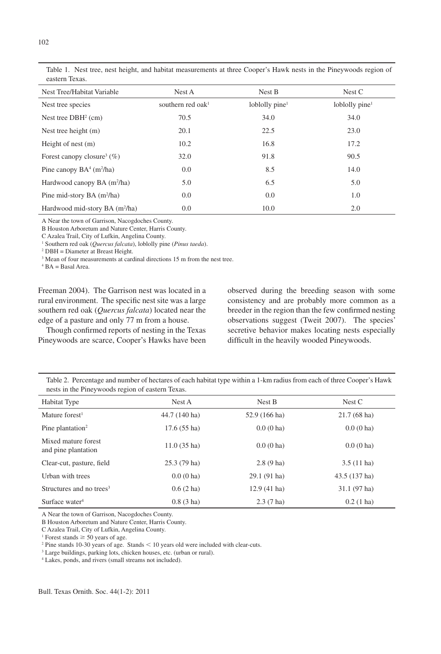| Nest Tree/Habitat Variable                 | Nest A               | Nest B                     | Nest C            |
|--------------------------------------------|----------------------|----------------------------|-------------------|
| Nest tree species                          | southern red oak $1$ | loblolly pine <sup>1</sup> | loblolly pine $1$ |
| Nest tree $DBH2$ (cm)                      | 70.5                 | 34.0                       | 34.0              |
| Nest tree height $(m)$                     | 20.1                 | 22.5                       | 23.0              |
| Height of nest $(m)$                       | 10.2                 | 16.8                       | 17.2              |
| Forest can opy closure <sup>3</sup> $(\%)$ | 32.0                 | 91.8                       | 90.5              |
| Pine canopy $BA^4$ (m <sup>2</sup> /ha)    | 0.0                  | 8.5                        | 14.0              |
| Hardwood canopy BA (m <sup>2</sup> /ha)    | 5.0                  | 6.5                        | 5.0               |
| Pine mid-story BA (m <sup>2</sup> /ha)     | 0.0                  | 0.0                        | 1.0               |
| Hardwood mid-story BA (m <sup>2</sup> /ha) | 0.0                  | 10.0                       | 2.0               |

Table 1. Nest tree, nest height, and habitat measurements at three Cooper's Hawk nests in the Pineywoods region of eastern Texas.

A Near the town of Garrison, Nacogdoches County.

B Houston Arboretum and Nature Center, Harris County.

C Azalea Trail, City of Lufkin, Angelina County.

1 Southern red oak (*Quercus falcata*), loblolly pine (*Pinus taeda*).

2 DBH = Diameter at Breast Height.

<sup>3</sup> Mean of four measurements at cardinal directions 15 m from the nest tree.

4 BA = Basal Area.

Freeman 2004). The Garrison nest was located in a rural environment. The specific nest site was a large southern red oak (*Quercus falcata*) located near the edge of a pasture and only 77 m from a house.

Though confirmed reports of nesting in the Texas Pineywoods are scarce, Cooper's Hawks have been observed during the breeding season with some consistency and are probably more common as a breeder in the region than the few confirmed nesting observations suggest (Tweit 2007). The species' secretive behavior makes locating nests especially difficult in the heavily wooded Pineywoods.

| Table 2. Percentage and number of hectares of each habitat type within a 1-km radius from each of three Cooper's Hawk |  |
|-----------------------------------------------------------------------------------------------------------------------|--|
| nests in the Pineywoods region of eastern Texas.                                                                      |  |

| Habitat Type                               | Nest A                | Nest B         | Nest C                |
|--------------------------------------------|-----------------------|----------------|-----------------------|
| Mature forest <sup>1</sup>                 | 44.7 (140 ha)         | 52.9 (166 ha)  | $21.7(68 \text{ ha})$ |
| Pine plantation <sup>2</sup>               | $17.6(55 \text{ ha})$ | $0.0(0)$ ha)   | $0.0(0)$ ha)          |
| Mixed mature forest<br>and pine plantation | $11.0(35)$ ha)        | $0.0(0)$ ha)   | $0.0(0)$ ha)          |
| Clear-cut, pasture, field                  | $25.3(79 \text{ ha})$ | $2.8(9)$ ha)   | $3.5(11)$ ha)         |
| Urban with trees                           | $0.0(0)$ ha)          | 29.1 (91 ha)   | 43.5 (137 ha)         |
| Structures and no trees <sup>3</sup>       | $0.6(2)$ ha)          | $12.9(41)$ ha) | $31.1(97)$ ha)        |
| Surface water <sup>4</sup>                 | $0.8(3)$ ha)          | $2.3(7)$ ha)   | $0.2(1)$ ha)          |

A Near the town of Garrison, Nacogdoches County.

B Houston Arboretum and Nature Center, Harris County.

C Azalea Trail, City of Lufkin, Angelina County.

<sup>1</sup> Forest stands  $\geq$  50 years of age.

 $2$  Pine stands 10-30 years of age. Stands  $\leq 10$  years old were included with clear-cuts.

3 Large buildings, parking lots, chicken houses, etc. (urban or rural).

4 Lakes, ponds, and rivers (small streams not included).